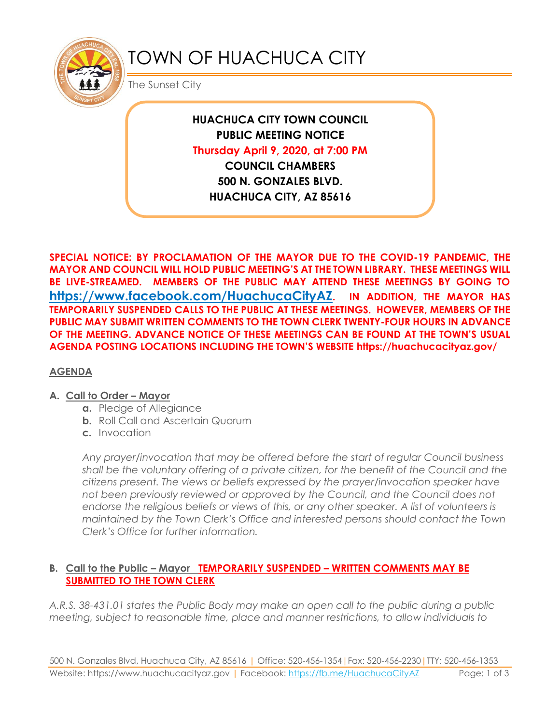

# TOWN OF HUACHUCA CITY

The Sunset City

**HUACHUCA CITY TOWN COUNCIL PUBLIC MEETING NOTICE Thursday April 9, 2020, at 7:00 PM COUNCIL CHAMBERS 500 N. GONZALES BLVD. HUACHUCA CITY, AZ 85616**

**SPECIAL NOTICE: BY PROCLAMATION OF THE MAYOR DUE TO THE COVID-19 PANDEMIC, THE MAYOR AND COUNCIL WILL HOLD PUBLIC MEETING'S AT THE TOWN LIBRARY. THESE MEETINGS WILL BE LIVE-STREAMED. MEMBERS OF THE PUBLIC MAY ATTEND THESE MEETINGS BY GOING TO <https://www.facebook.com/HuachucaCityAZ>. IN ADDITION, THE MAYOR HAS TEMPORARILY SUSPENDED CALLS TO THE PUBLIC AT THESE MEETINGS. HOWEVER, MEMBERS OF THE PUBLIC MAY SUBMIT WRITTEN COMMENTS TO THE TOWN CLERK TWENTY-FOUR HOURS IN ADVANCE OF THE MEETING. ADVANCE NOTICE OF THESE MEETINGS CAN BE FOUND AT THE TOWN'S USUAL AGENDA POSTING LOCATIONS INCLUDING THE TOWN'S WEBSITE https://huachucacityaz.gov/**

## **AGENDA**

#### **A. Call to Order – Mayor**

- **a.** Pledge of Allegiance
- **b.** Roll Call and Ascertain Quorum
- **c.** Invocation

*Any prayer/invocation that may be offered before the start of regular Council business shall be the voluntary offering of a private citizen, for the benefit of the Council and the citizens present. The views or beliefs expressed by the prayer/invocation speaker have not been previously reviewed or approved by the Council, and the Council does not endorse the religious beliefs or views of this, or any other speaker. A list of volunteers is maintained by the Town Clerk's Office and interested persons should contact the Town Clerk's Office for further information.*

#### **B. Call to the Public – Mayor TEMPORARILY SUSPENDED – WRITTEN COMMENTS MAY BE SUBMITTED TO THE TOWN CLERK**

*A.R.S. 38-431.01 states the Public Body may make an open call to the public during a public meeting, subject to reasonable time, place and manner restrictions, to allow individuals to*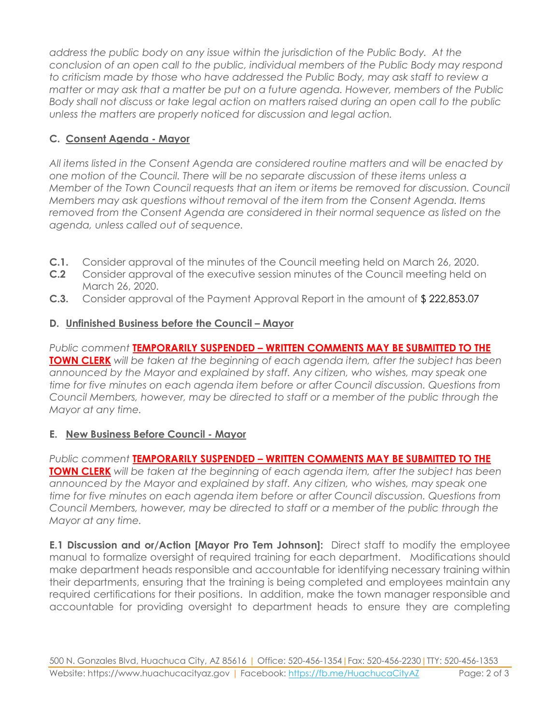*address the public body on any issue within the jurisdiction of the Public Body. At the conclusion of an open call to the public, individual members of the Public Body may respond to criticism made by those who have addressed the Public Body, may ask staff to review a matter or may ask that a matter be put on a future agenda. However, members of the Public Body shall not discuss or take legal action on matters raised during an open call to the public unless the matters are properly noticed for discussion and legal action.*

# **C. Consent Agenda - Mayor**

*All items listed in the Consent Agenda are considered routine matters and will be enacted by one motion of the Council. There will be no separate discussion of these items unless a Member of the Town Council requests that an item or items be removed for discussion. Council Members may ask questions without removal of the item from the Consent Agenda. Items removed from the Consent Agenda are considered in their normal sequence as listed on the agenda, unless called out of sequence.*

- **C.1.** Consider approval of the minutes of the Council meeting held on March 26, 2020.
- **C.2** Consider approval of the executive session minutes of the Council meeting held on March 26, 2020.
- **C.3.** Consider approval of the Payment Approval Report in the amount of \$ 222,853.07

## **D.** Unfinished Business before the Council – Mayor

*Public comment* **TEMPORARILY SUSPENDED – WRITTEN COMMENTS MAY BE SUBMITTED TO THE TOWN CLERK** *will be taken at the beginning of each agenda item, after the subject has been announced by the Mayor and explained by staff. Any citizen, who wishes, may speak one time for five minutes on each agenda item before or after Council discussion. Questions from Council Members, however, may be directed to staff or a member of the public through the Mayor at any time.*

## **E. New Business Before Council - Mayor**

*Public comment* **TEMPORARILY SUSPENDED – WRITTEN COMMENTS MAY BE SUBMITTED TO THE TOWN CLERK** *will be taken at the beginning of each agenda item, after the subject has been announced by the Mayor and explained by staff. Any citizen, who wishes, may speak one time for five minutes on each agenda item before or after Council discussion. Questions from Council Members, however, may be directed to staff or a member of the public through the Mayor at any time.* 

**E.1 Discussion and or/Action [Mayor Pro Tem Johnson]:** Direct staff to modify the employee manual to formalize oversight of required training for each department. Modifications should make department heads responsible and accountable for identifying necessary training within their departments, ensuring that the training is being completed and employees maintain any required certifications for their positions. In addition, make the town manager responsible and accountable for providing oversight to department heads to ensure they are completing